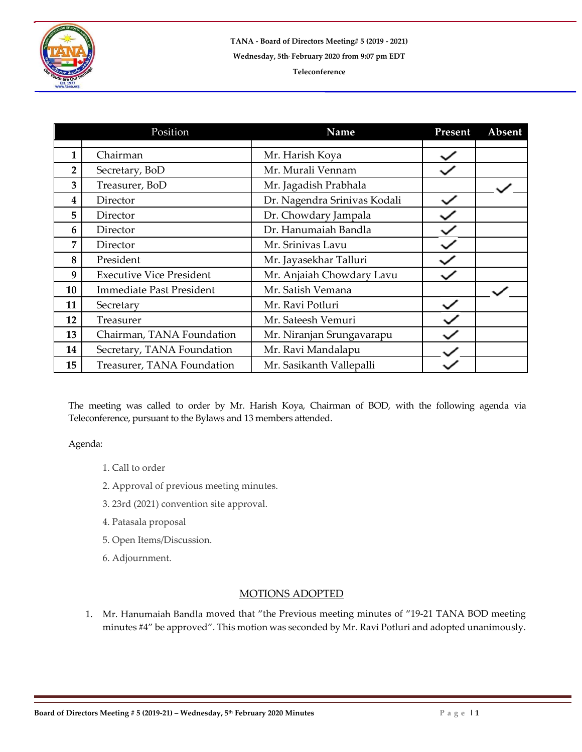

|                | Position                        | Name                         | Present | Absent |
|----------------|---------------------------------|------------------------------|---------|--------|
|                |                                 |                              |         |        |
| $\mathbf{1}$   | Chairman                        | Mr. Harish Koya              |         |        |
| $\overline{2}$ | Secretary, BoD                  | Mr. Murali Vennam            |         |        |
| 3              | Treasurer, BoD                  | Mr. Jagadish Prabhala        |         |        |
| 4              | Director                        | Dr. Nagendra Srinivas Kodali |         |        |
| 5              | Director                        | Dr. Chowdary Jampala         |         |        |
| 6              | Director                        | Dr. Hanumaiah Bandla         |         |        |
| 7              | Director                        | Mr. Srinivas Lavu            |         |        |
| 8              | President                       | Mr. Jayasekhar Talluri       |         |        |
| 9              | <b>Executive Vice President</b> | Mr. Anjaiah Chowdary Lavu    |         |        |
| 10             | <b>Immediate Past President</b> | Mr. Satish Vemana            |         |        |
| 11             | Secretary                       | Mr. Ravi Potluri             |         |        |
| 12             | Treasurer                       | Mr. Sateesh Vemuri           |         |        |
| 13             | Chairman, TANA Foundation       | Mr. Niranjan Srungavarapu    |         |        |
| 14             | Secretary, TANA Foundation      | Mr. Ravi Mandalapu           |         |        |
| 15             | Treasurer, TANA Foundation      | Mr. Sasikanth Vallepalli     |         |        |

The meeting was called to order by Mr. Harish Koya, Chairman of BOD, with the following agenda via Teleconference, pursuant to the Bylaws and 13 members attended.

Agenda:

- 1. Call to order
- 2. Approval of previous meeting minutes.
- 3. 23rd (2021) convention site approval.
- 4. Patasala proposal
- 5. Open Items/Discussion.
- 6. Adjournment.

## MOTIONS ADOPTED

1. Mr. Hanumaiah Bandla moved that "the Previous meeting minutes of "19-21 TANA BOD meeting minutes #4" be approved". This motion was seconded by Mr. Ravi Potluri and adopted unanimously.